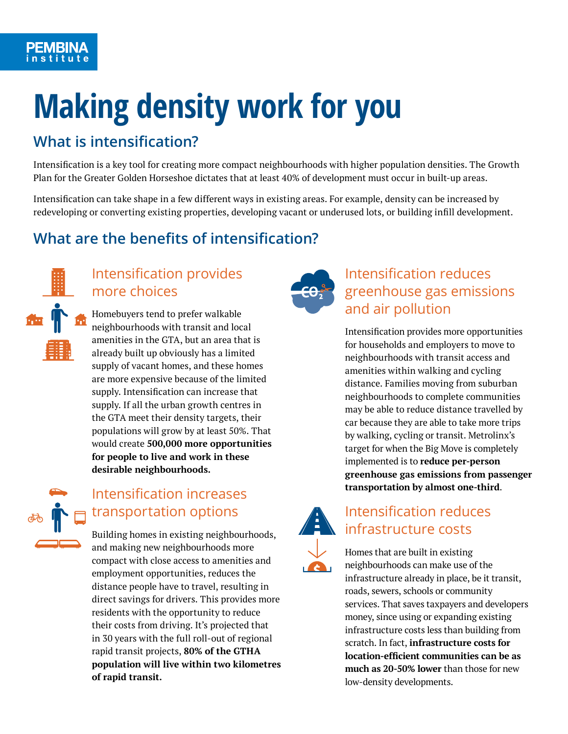# **Making density work for you**

### **What is intensification?**

Intensification is a key tool for creating more compact neighbourhoods with higher population densities. The Growth Plan for the Greater Golden Horseshoe dictates that at least 40% of development must occur in built-up areas.

Intensification can take shape in a few different ways in existing areas. For example, density can be increased by redeveloping or converting existing properties, developing vacant or underused lots, or building infill development.

## **What are the benefits of intensification?**



### Intensification provides more choices

Homebuyers tend to prefer walkable neighbourhoods with transit and local amenities in the GTA, but an area that is already built up obviously has a limited supply of vacant homes, and these homes are more expensive because of the limited supply. Intensification can increase that supply. If all the urban growth centres in the GTA meet their density targets, their populations will grow by at least 50%. That would create **500,000 more opportunities for people to live and work in these desirable neighbourhoods.**



### Intensification increases transportation options

Building homes in existing neighbourhoods, and making new neighbourhoods more compact with close access to amenities and employment opportunities, reduces the distance people have to travel, resulting in direct savings for drivers. This provides more residents with the opportunity to reduce their costs from driving. It's projected that in 30 years with the full roll-out of regional rapid transit projects, **80% of the GTHA population will live within two kilometres of rapid transit.**



### Intensification reduces greenhouse gas emissions and air pollution

Intensification provides more opportunities for households and employers to move to neighbourhoods with transit access and amenities within walking and cycling distance. Families moving from suburban neighbourhoods to complete communities may be able to reduce distance travelled by car because they are able to take more trips by walking, cycling or transit. Metrolinx's target for when the Big Move is completely implemented is to **reduce per-person greenhouse gas emissions from passenger transportation by almost one-third**.



### Intensification reduces **infrastructure costs**

Homes that are built in existing neighbourhoods can make use of the infrastructure already in place, be it transit, roads, sewers, schools or community services. That saves taxpayers and developers money, since using or expanding existing infrastructure costs less than building from scratch. In fact, **infrastructure costs for location-efficient communities can be as much as 20-50% lower** than those for new low-density developments.